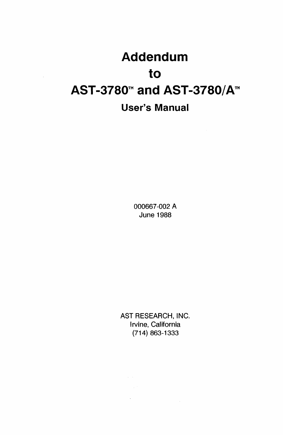# **Addendum to AST-3780™ and AST-3780/A™ User's Manual**

 $\mathcal{L}$ 

000667-002 A June 1988

AST RESEARCH, INC. Irvine, California (714) 863-1333

 $\sim 10^{-11}$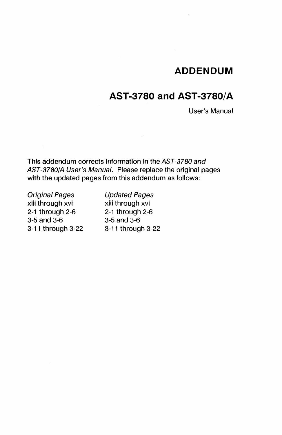# **ADDENDUM**

# **AST-3780 and AST-3780/A**

User's Manual

This addendum corrects information in the AST-37BO and AST-37BO/A User's Manual. Please replace the original pages with the updated pages from this addendum as follows:

Original Pages xiii through xvi 2-1 through 2-6 3-5 and 3-6 3-11 through 3-22 Updated Pages xiii through xvi 2-1 through 2-6 3-5 and 3-6 3-11 through 3-22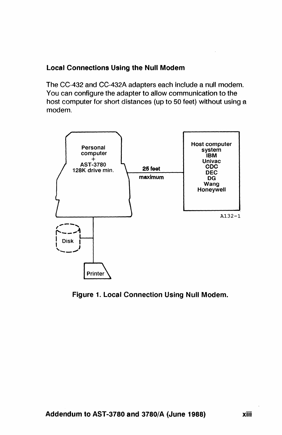# Local Connections Using the Null Modem

The CC-432 and CC-432A adapters each Include a null modem. You can configure the adapter to allow communication to the host computer for short distances (up to 50 feet) without using a modem.



Figure 1. Local Connection Using Null Modem.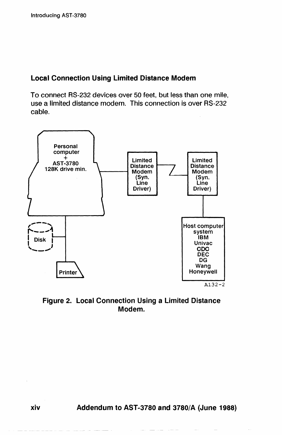### Local Connection Using Limited Distance Modem

To connect RS-232 devices over 50 feet, but less than one mile, use a limited distance modem. This connection is over RS-232 cable.



Figure 2. Local Connection Using a Limited Distance Modem.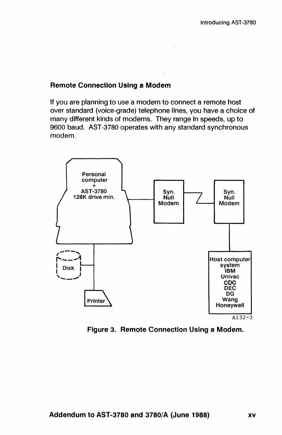### Remote Connection Using a Modem

If you are planning to use a modem to connect a remote host over standard (voice-grade) telephone lines, you have a choice of many different kinds of modems. They range in speeds, up to 9600 baud. AST-3780 operates with any standard synchronous modem.



Figure 3. Remote Connection Using a Modem.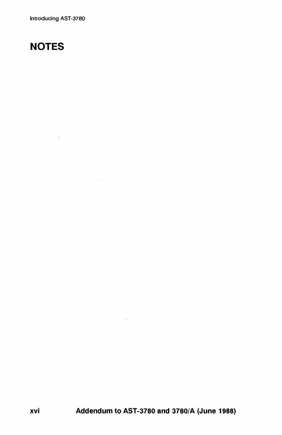Introducing AST-3780

# **NOTES**

 $\sim 10^{11}$  m  $^{-1}$ 

xvi Addendum to AST-3780 and *3780/A* (June 1988)

 $\sim 10^5$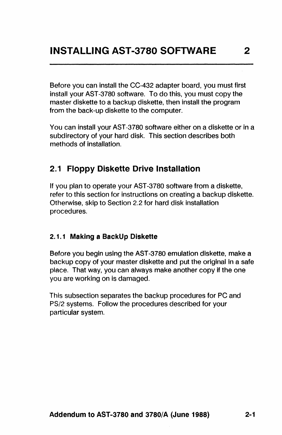Before you can install the CC-432 adapter board, you must first install your AST-3780 software. To do this, you must copy the master diskette to a backup diskette, then install the program from the back-up diskette to the computer.

You can install your AST-3780 software either on a diskette or in a subdirectory of your hard disk. This section describes both methods of Installation.

# 2.1 Floppy Diskette Drive Installation

If you plan to operate your AST -3780 software from a diskette, refer to this section for instructions on creating a backup diskette. Otherwise, skip to Section 2.2 for hard disk installation procedures.

#### 2.1.1 Making a BackUp Diskette

Before you begin using the AST-3780 emulation diskette, make a backup copy of your master diskette and put the original In a safe place. That way, you can always make another copy if the one you are working on is damaged.

This subsection separates the backup procedures for PC and PS/2 systems. Follow the procedures described for your particular system.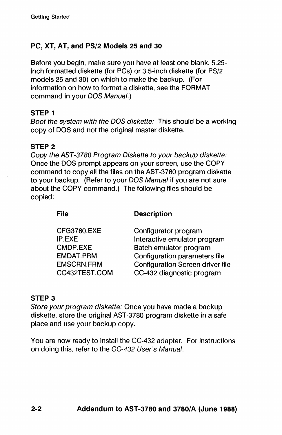# PC, XT, AT, and PS/2 Models 25 and 30

Before you begin, make sure you have at least one blank, 5.25 inch formatted diskette (for PCs) or 3.5-inch diskette (for PS/2 models 25 and 30) on which to make the backup. (For Information on how to format a diskette, see the FORMAT command in your DOS Manual.)

#### STEP 1

Boot the system with the DOS diskette: This should be a working copy of DOS and not the original master diskette.

#### STEP 2

Copy the AST-37BO Program Diskette to your backup diskette: Once the DOS prompt appears on your screen, use the COpy command to copy all the files on the AST-3780 program diskette to your backup. (Refer to your DOS Manual if you are not sure about the COPY command.) The following files should be copied:

#### File

Description

| Configurator program                    |
|-----------------------------------------|
| Interactive emulator program            |
| Batch emulator program                  |
| Configuration parameters file           |
| <b>Configuration Screen driver file</b> |
| CC-432 diagnostic program               |
|                                         |

#### STEP 3

Store your program diskette: Once you have made a backup diskette, store the original AST -3780 program diskette in a safe place and use your backup copy.

You are now ready to install the CC-432 adapter. For instructions on doing this, refer to the CC-432 User's Manual.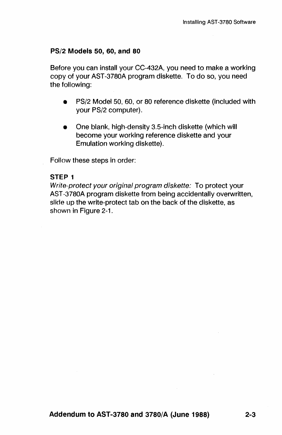#### PS/2 **Models** 50, 60, **and 80**

Before you can install your CC-432A, you need to make a working copy of your AST-3780A program diskette. To do so, you need the following:

- PS/2 Model 50, 60, or 80 reference diskette (included with your PS/2 computer).
- One blank, high-density 3.5-inch diskette (which will become your working reference diskette and your Emulation working diskette).

Follow these steps in order:

#### **STEP 1**

Write-protect your original program diskette: To protect your AST -3780A program diskette from being accidentally overwritten, slide up the write-protect tab on the back of the diskette, as shown in Figure 2-1.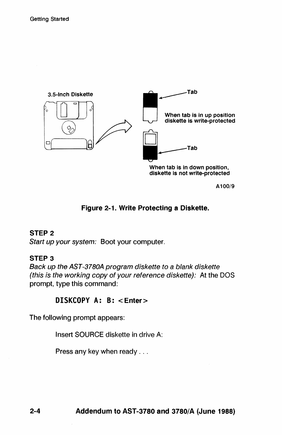

A100/9

### Figure 2-1. Write Protecting a Diskette.

# STEP 2

Start up your system: Boot your computer.

### STEP 3

Back up the AST-3780A program diskette to a blank diskette (this is the working copy of your reference diskette): At the DOS prompt, type this command:

# DISKCOPY A: B: <Enter>

The following prompt appears:

Insert SOURCE diskette in drive A:

Press any key when ready . . .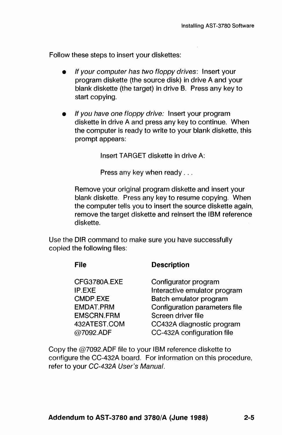Follow these steps to insert your diskettes:

- If your computer has two floppy drives: Insert your program diskette (the source disk) in drive A and your blank diskette (the target) in drive B. Press any key to start copying.
- If you have one floppy drive: Insert your program diskette in drive A and press any key to continue. When the computer is ready to write to your blank diskette, this prompt appears:

Insert TARGET diskette in drive A:

Press any key when ready ...

Remove your original program diskette and insert your blank diskette. Press any key to resume copying. When the computer tells you to insert the source diskette again, remove the target diskette and reinsert the IBM reference diskette.

Use the DIR command to make sure you have successfully copied the following files:

| File                                                                                                     | <b>Description</b>                                                                                                                                                                               |
|----------------------------------------------------------------------------------------------------------|--------------------------------------------------------------------------------------------------------------------------------------------------------------------------------------------------|
| CFG3780A.EXE<br><b>IP.EXE</b><br>CMDP.EXE<br>EMDAT.PRM<br><b>EMSCRN.FRM</b><br>432ATEST.COM<br>@7092.ADF | Configurator program<br>Interactive emulator program<br>Batch emulator program<br>Configuration parameters file<br>Screen driver file<br>CC432A diagnostic program<br>CC-432A configuration file |
|                                                                                                          |                                                                                                                                                                                                  |

Copy the @7092.ADF file to your IBM reference diskette to configure the CC-432A board. For information on this procedure, refer to your CC-432A User's Manual.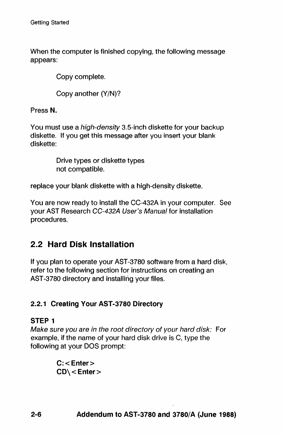When the computer is finished copying, the following message appears:

Copy complete.

Copy another (Y/N)?

Press N.

You must use a *high-density* 3.5-inch diskette for your backup diskette. If you get this message after you insert your blank diskette:

> Drive types or diskette types not compatible.

replace your blank diskette with a high-density diskette.

You are now ready to install the CC-432A in your computer. See your AST Research CC-432A User's Manual for installation procedures.

# 2.2 Hard Disk Installation

If you plan to operate your AST-3780 software from a hard disk, refer to the following section for instructions on creating an AST-3780 directory and installing your files.

# 2.2.1 Creating Your AST-3780 Directory

#### STEP 1

Make sure you are in the root directory of your hard disk: For example, if the name of your hard disk drive is C, type the following at your DOS prompt:

> $C:$  < Enter  $>$  $CD \subset$  Enter  $>$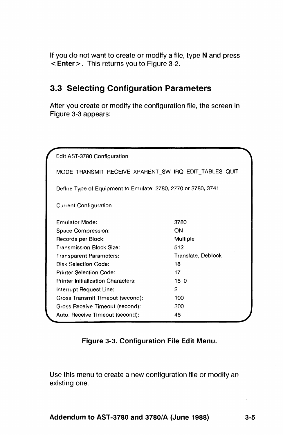If you do not want to create or modify a file, type N and press < Enter>. This returns you to Figure 3-2.

# 3.3 **Selecting Configuration Parameters**

After you create or modify the configuration file, the screen in Figure 3-3 appears:

| Edit AST-3780 Configuration                                   |                    |
|---------------------------------------------------------------|--------------------|
| MODE TRANSMIT RECEIVE XPARENT SW IRQ EDIT TABLES QUIT         |                    |
| Define Type of Equipment to Emulate: 2780, 2770 or 3780, 3741 |                    |
| <b>Current Configuration</b>                                  |                    |
| Emulator Mode:                                                | 3780               |
| Space Compression:                                            | ON                 |
| Records per Block:                                            | Multiple           |
| Transmission Block Size:                                      | 512                |
| Transparent Parameters:                                       | Translate, Deblock |
| Disk Selection Code:                                          | 18                 |
| <b>Printer Selection Code:</b>                                | 17                 |
| Printer Initialization Characters:                            | 150                |
| Interrupt Request Line:                                       | $\overline{c}$     |
| Gross Transmit Timeout (second):                              | 100                |
| Gross Receive Timeout (second):                               | 300                |
| Auto. Receive Timeout (second):                               | 45                 |

### Figure 3-3. Configuration File Edit Menu.

Use this menu to create a new configuration file or modify an existing one.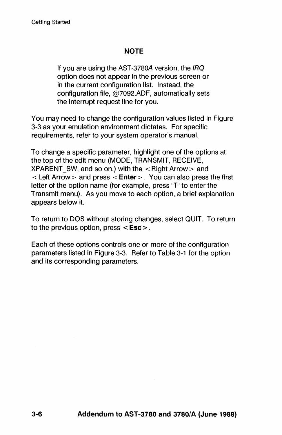# **NOTE**

If you are using the AST -3780A version, the IRQ option does not appear in the previous screen or in the current configuration list. Instead, the configuration file, @7092.ADF, automatically sets the interrupt request line for you.

You may need to change the configuration values listed in Figure 3-3 as your emulation environment dictates. For specific requirements, refer to your system operator's manual.

To change a specific parameter, highlight one of the options at the top of the edit menu (MODE, TRANSMiT, RECEIVE, XPARENT SW, and so on.) with the  $\lt$  Right Arrow  $>$  and  $\epsilon$  Left Arrow > and press  $\epsilon$  Enter >. You can also press the first letter of the option name (for example, press "T" to enter the Transmit menu). As you move to each option, a brief explanation appears below it.

To return to DOS without storing changes, select QUIT. To return to the previous option, press < Esc> .

Each of these options controls one or more of the configuration parameters listed in Figure 3-3. Refer to Table 3-1 for the option and its corresponding parameters.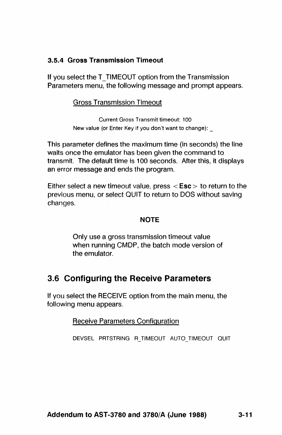# 3.5.4 Gross Transmission Timeout

If you select the T\_TIMEOUT option from the Transmission Parameters menu, the following message and prompt appears.

#### Gross Transmission Timeout

Current Gross Transmit timeout: 100 New value (or Enter Key if you don't want to change): \_

This parameter defines the maximum time (in seconds) the line waits once the emulator has been given the command to transmit. The default time is 100 seconds. After this, it displays an error message and ends the program.

Either select a new timeout value, press  $\le$  **Esc**  $>$  to return to the previous menu, or select QUIT to return to DOS without saving changes.

#### **NOTE**

Only use a gross transmission timeout value when running CMDP, the batch mode version of the emulator.

# 3.6 Configuring the Receive Parameters

If you select the RECEIVE option from the main menu, the following menu appears.

#### Receive Parameters Configuration

DEVSEL PRTSTRING R\_TIMEOUT AUTO\_TIMEOUT QUIT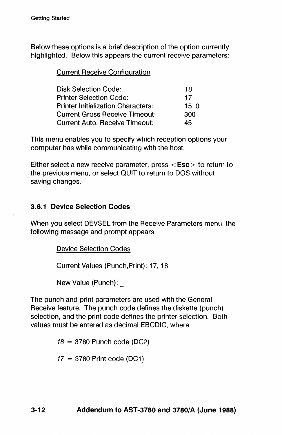Below these options is a brief description of the option currently highlighted. Below this appears the current receive parameters:

Current Receive Configuration

| Disk Selection Code:                      | 18  |
|-------------------------------------------|-----|
| Printer Selection Code:                   | 17  |
| <b>Printer Initialization Characters:</b> | 150 |
| Current Gross Receive Timeout:            | 300 |
| Current Auto. Receive Timeout:            | 45  |

This menu enables you to specify which reception options your computer has while communicating with the host.

Either select a new receive parameter, press  $\le$  Esc  $>$  to return to the previous menu, or select QUIT to return to DOS without saving changes.

### 3.6.1 Device Selection Codes

When you select DEVSEL from the Receive Parameters menu, the following message and prompt appears.

Device Selection Codes

Current Values (Punch,Print): 17, 18

New Value (Punch):\_

The punch and print parameters are used with the General Receive feature. The punch code defines the diskette (punch) selection, and the print code defines the printer selection. Both values must be entered as decimal EBCDIC, where:

 $18 = 3780$  Punch code (DC2)

 $17 = 3780$  Print code (DC1)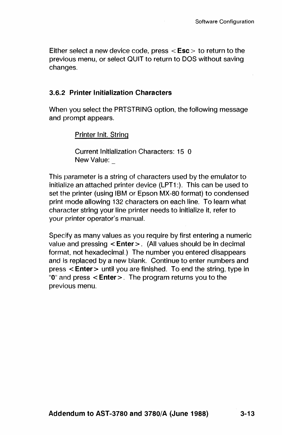Either select a new device code, press  $\le$  Esc  $>$  to return to the previous menu, or select QUIT to return to DOS without saving changes.

#### 3.6.2 Printer Initialization Characters

When you select the PRTSTRING option, the following message and prompt appears.

Printer Init. String

Current Initialization Characters: 15 0 New Value:

This parameter is a string of characters used by the emulator to initialize an attached printer device (LPT1 :). This can be used to set the printer (using IBM or Epson MX-80 format) to condensed print mode allowing 132 characters on each line. To learn what character string your line printer needs to initialize it, refer to your printer operator's manual.

Specify as many values as you require by first entering a numeric value and pressing  $\leq$  Enter $\geq$ . (All values should be in decimal format, not hexadecimal.) The number you entered disappears and is replaced by a new blank. Continue to enter numbers and press < Enter > until you are finished. To end the string, type in " $0$ " and press  $\leq$  **Enter** $>$ . The program returns you to the previous menu.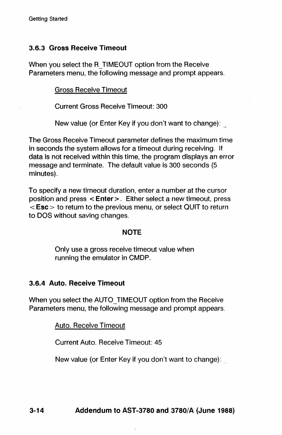# 3.6.3 Gross Receive Timeout

When you select the R\_TIMEOUT option from the Receive Parameters menu, the following message and prompt appears.

Gross Receive Timeout

Current Gross Receive Timeout: 300

New value (or Enter Key if you don't want to change):

The Gross Receive Timeout parameter defines the maximum time in seconds the system allows for a timeout during receiving. If data is not received within this time, the program displays an error message and terminate. The default value is 300 seconds (5 minutes).

To specify a new timeout duration, enter a number at the cursor position and press < Enter>. Either select a new timeout, press  $\epsilon$  Esc  $>$  to return to the previous menu, or select QUIT to return to DOS without saving changes.

#### **NOTE**

Only use a gross receive timeout value when running the emulator in CMDP.

# 3.6.4 Auto. Receive Timeout

When you select the AUTO TIMEOUT option from the Receive Parameters menu, the following message and prompt appears.

Auto. Receive Timeout

Current Auto. Receive Timeout: 45

New value (or Enter Key if you don't want to change):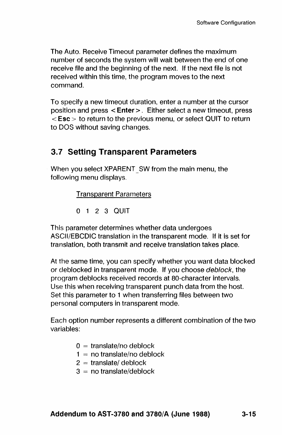The Auto. Receive Timeout parameter defines the maximum number of seconds the system will wait between the end of one receive file and the beginning of the next. If the next file is not received within this time, the program moves to the next command.

To specify a new timeout duration, enter a number at the cursor position and press < Enter>. Either select a new timeout, press < Esc> to return to the previous menu, or select QUIT to return to DOS without saving changes.

# 3.7 Setting Transparent Parameters

When you select XPARENT SW from the main menu, the following menu displays.

Transparent Parameters

o 1 2 3 QUIT

This parameter determines whether data undergoes ASCII/EBCDIC translation in the transparent mode. If it is set for translation, both transmit and receive translation takes place.

At the same time, you can specify whether you want data blocked or deblocked in transparent mode. If you choose deblock, the program deblocks received records at SO-character intervals. Use this when receiving transparent punch data from the host. Set this parameter to 1 when transferring files between two personal computers in transparent mode.

Each option number represents a different combination of the two variables:

- $0 =$  translate/no deblock
- $1 =$  no translate/no deblock
- $2 =$ translate/deblock
- $3 =$  no translate/deblock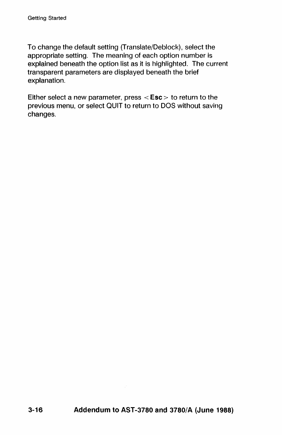To change the default setting (Translate/Deblock), select the appropriate setting. The meaning of each option number is explained beneath the option list as it is highlighted. The current transparent parameters are displayed beneath the brief explanation.

Either select a new parameter, press  $\leq$  Esc  $>$  to return to the previous menu, or select QUIT to return to DOS without saving changes.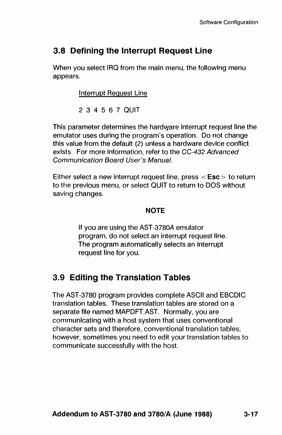# 3.8 Defining the Interrupt Request Line

When you select IRQ from the main menu, the following menu appears.

Interrupt Request Line

2 3 4 5 6 7 QUIT

This parameter determines the hardware interrupt request line the emulator uses during the program's operation. Do not change this value from the default (2) unless a hardware device conflict exists. For more information, refer to the CC-432 Advanced Communication Board User's Manual.

Either select a new interrupt request line, press  $\le$  Esc  $>$  to return to the previous menu, or select QUIT to return to DOS without saving changes.

# **NOTE**

If you are using the AST -378OA emulator program, do not select an interrupt request line. The program automatically selects an interrupt request line for you.

# 3.9 Editing the Translation Tables

The AST -3780 program provides complete ASCII and EBCDIC translation tables. These translation tables are stored on a separate file named MAPDFT.AST. Normally, you are communicating with a host system that uses conventional character sets and therefore, conventional translation tables; however, sometimes you need to edit your translation tables to communicate successfully with the host.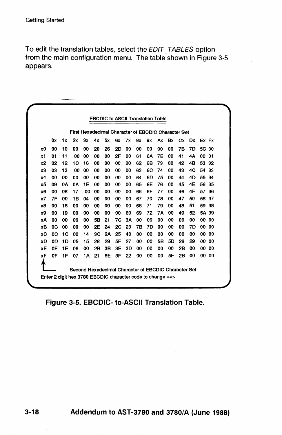To edit the translation tables, select the EDIT\_TABLES option from the main configuration menu. The table shown in Figure 3-5 appears.

|                |    |           | First Hexadecimal Character of EBCDIC Character Set |    |    |    |           |    |    |    |           |    |    |           |       |    |
|----------------|----|-----------|-----------------------------------------------------|----|----|----|-----------|----|----|----|-----------|----|----|-----------|-------|----|
|                | 0x | 1x        | 2х                                                  | 3x | 4x | 5x | 6x        | 7х | 8x | 9x | Ax        | Bx | Сx | Dx        | Ex Fx |    |
| x0             | 00 | 10        | 00                                                  | 00 | 20 | 26 | 2D        | 00 | 00 | 00 | 00        | 00 | 7Β | 7D        | 5C    | 30 |
| x1             | 01 | 11        | 00                                                  | 00 | 00 | 00 | 2F        | 00 | 61 | 6Α | <b>7E</b> | 00 | 41 | 4Α        | 00    | 31 |
| x <sub>2</sub> | 02 | 12        | 1C                                                  | 16 | 00 | 00 | 00        | 00 | 62 | 6B | 73        | 00 | 42 | 4B        | 53    | 32 |
| x3             | 03 | 13        | 00                                                  | 00 | 00 | 00 | 00        | 00 | 63 | 6C | 74        | 00 | 43 | 4C        | 54    | 33 |
| x4             | 00 | 00        | 00                                                  | 00 | 00 | 00 | 00        | 00 | 64 | 6D | 75        | 00 | 44 | 4D        | 55    | 34 |
| x5             | 09 | <b>0A</b> | <b>0A</b>                                           | 1E | 00 | 00 | 00        | 00 | 65 | 6E | 76        | 00 | 45 | 4E        | 56 35 |    |
| x6             | 00 | 08        | 17                                                  | 00 | 00 | 00 | 00        | 00 | 66 | 6F | 77        | 00 | 46 | 4F        | 57    | 36 |
| x7             | 7F | 00        | 18                                                  | 04 | 00 | 00 | 00        | 00 | 67 | 70 | 78        | 00 | 47 | 50        | 58 37 |    |
| x8             | 00 | 18        | 00                                                  | 00 | 00 | 00 | 00        | 00 | 68 | 71 | 79        | 00 | 48 | 51        | 59    | 38 |
| х9             | 00 | 19        | 00                                                  | 00 | 00 | 00 | 00        | 60 | 69 | 72 | 7Α        | 00 | 49 | 52        | 5A 39 |    |
| XA             | 00 | 00        | 00                                                  | 00 | 5B | 21 | <b>7C</b> | 3A | 00 | 00 | 00        | 00 | 00 | 00        | 00    | 00 |
| хB             | 0C | 00        | 00                                                  | 00 | 2E | 24 | <b>2C</b> | 23 | 7Β | 7D | 00        | 00 | 00 | <b>7D</b> | 00    | 00 |
| хC             | 0C | 1C        | 00                                                  | 14 | ЗC | 2A | 25        | 40 | 00 | 00 | 00        | 00 | 00 | 00        | 00    | 00 |
| хD             | 0D | 1D        | 05                                                  | 15 | 28 | 29 | 5F        | 27 | 00 | 00 | 5B        | 5D | 28 | 29        | 00    | 00 |
| хE             | 0Ε | 1E        | 06                                                  | 00 | 2Β | 3В | 3Ε        | 3D | 00 | 00 | 00        | 00 | 2B | 00        | 00    | 00 |
| хF             | 0F | 1F        | 07                                                  | 1A | 21 | 5E | 3F        | 22 | 00 | 00 | 00        | 5F | 2B | 00        | 00    | 00 |

Figure 3-5. EBCDIC- to-ASCII Translation Table.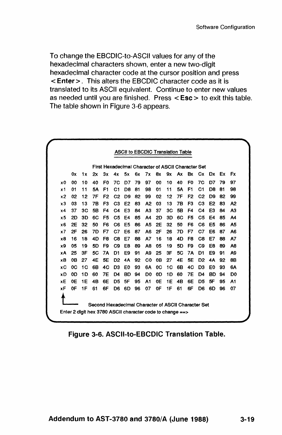To change the EBCDIC-to-ASCII values for any of the hexadecimal characters shown, enter a new two-digit hexadecimal character code at the cursor position and press < Enter>. This alters the EBCDIC character code as It is translated to its ASCII equivalent. Continue to enter new values as needed until you are finished. Press  $\le$  Esc  $>$  to exit this table. The table shown in Figure 3-6 appears.

|    |    |     |    |    | First Hexadecimal Character of ASCII Character Set |                |    |                |           |    |    |                |                |                |     |                |
|----|----|-----|----|----|----------------------------------------------------|----------------|----|----------------|-----------|----|----|----------------|----------------|----------------|-----|----------------|
|    | 0x | 1x  | 2x | Зx | 4x                                                 | 5x             | 6x | 7x             | 8x        | 9x | Аx | Bx             | Cx.            | Dx.            | Ex. | Fx             |
| x0 | ۵O | 10  | 40 | F0 | 70                                                 | D7             | 79 | 97             | 00        | 10 | 40 | F <sub>0</sub> | 7C             | D7             | 79  | 97             |
| x1 | 01 | 11  | 5Α | F1 | C1                                                 | D8             | 81 | 98             | 01        | 11 | 5Α | F <sub>1</sub> | C1             | D8             | 81  | 98             |
| х2 | 02 | 12  | 7F | F2 | C <sub>2</sub>                                     | D9             | 82 | 99             | 02        | 12 | 7F | F <sub>2</sub> | C <sub>2</sub> | D9             | 82  | 99             |
| x3 | 03 | 13  | 78 | F3 | C <sub>3</sub>                                     | E <sub>2</sub> | 83 | A <sub>2</sub> | 03        | 13 | 7B | F3             | C <sub>3</sub> | E <sub>2</sub> | 83  | A <sub>2</sub> |
| x4 | 37 | 3C  | 58 | F4 | C4                                                 | E3             | 84 | A <sub>3</sub> | 37        | 3C | 5B | F4             | C4             | F3             | 84  | A3             |
| x5 | 2D | 3D  | 6C | F5 | C5                                                 | F4             | 85 | Α4             | <b>2D</b> | 3D | 60 | F5             | C5             | E4             | 85  | A4             |
| x6 | 2E | 32  | 50 | F6 | C6                                                 | F5             | 86 | A5             | 2E        | 32 | 50 | F6             | С6             | F5             | 86  | Α5             |
| x7 | 2F | 26  | 7D | F7 | C7                                                 | E6             | 87 | A6             | 2F        | 26 | 7D | F7             | C7             | F6             | 87  | A6             |
| хB | 16 | 18  | 4D | F8 | C8                                                 | E7             | 88 | A7             | 16        | 18 | 4D | F8             | C8             | F7             | 88  | A7             |
| x9 | 05 | 19  | 5D | F9 | C9                                                 | E8             | 89 | A8             | 05        | 19 | 5D | F9             | C9             | E8             | 89  | A8             |
| хA | 25 | 3Е  | 5C | 7Α | D1                                                 | E9             | 91 | A9             | 25        | 3F | 5C | 7Α             | D1             | F9             | 91  | A9             |
| хB | 0В | 27  | 4E | 5E | D <sub>2</sub>                                     | 4A             | 92 | C0             | 0B        | 27 | 4E | <b>5E</b>      | D <sub>2</sub> | 4Α             | 92  | 8B             |
| хC | 0C | 1 G | 6B | 40 | D3                                                 | F0             | 93 | 6A             | 0C        | 1C | 6B | 40             | D3             | E0             | 93  | 6Α             |
| хD | 0D | 1D  | 60 | 7E | D4                                                 | <b>BD</b>      | 94 | D0             | 0D        | 1D | 60 | 7Ε             | D4             | BD             | 94  | D <sub>0</sub> |
| хE | 0E | 1E  | 4B | 6E | D5                                                 | <b>5F</b>      | 95 | A1             | 0E        | 1E | 4B | 6E             | D5             | 5F             | 95  | A1             |
| хF | 0F | 1F  | 61 | 6F | D6                                                 | 6D             | 96 | 07             | 0F        | 1F | 61 | 6F             | D6             | 6D             | 96  | 07             |

Figure 3-6. ASCII-to-EBCDIC Translation Table.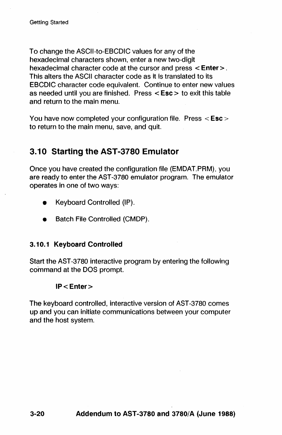To change the ASCII-to-EBCDIC values for any of the hexadecimal characters shown, enter a new two-digit hexadecimal character code at the cursor and press < Enter >. This alters the ASCII character code as It Is translated to its EBCDIC character code equivalent. Continue to enter new values as needed until you are finished. Press < Esc> to exit this table and return to the main menu.

You have now completed your configuration file. Press < Esc > to return to the main menu, save, and quit.

# 3.10 Starting the AST -3780 Emulator

Once you have created the configuration file (EMDAT.PRM), you are ready to enter the AST -3780 emulator program. The emulator operates in one of two ways:

- Keyboard Controlled (IP).
- Batch File Controlled (CMDP).

#### 3.10.1 Keyboard Controlled

Start the AST -3780 interactive program by entering the following command at the DOS prompt.

#### IP<Enter>

The keyboard controlled, interactive version of AST-3780 comes up and you can initiate communications between your computer and the host system.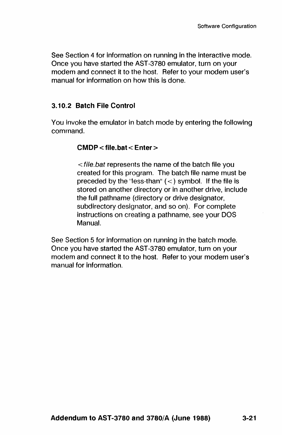See Section 4 for information on running in the interactive mode. Once you have started the AST -3780 emulator, turn on your modem and connect it to the host. Refer to your modem user's manual for information on how this is done.

# 3.10.2 Batch File Control

You invoke the emulator in batch mode by entering the following command.

### CMDP < file. bat < Enter>

< file.bat represents the name of the batch file you created for this program. The batch file name must be preceded by the "less-than"  $(<)$  symbol. If the file is stored on another directory or in another drive, include the full pathname (directory or drive designator, subdirectory designator, and so on). For complete instructions on creating a pathname, see your DOS Manual.

See Section 5 for information on running in the batch mode. Once you have started the AST-3780 emulator, turn on your modem and connect It to the host. Refer to your modem user's manual for information.